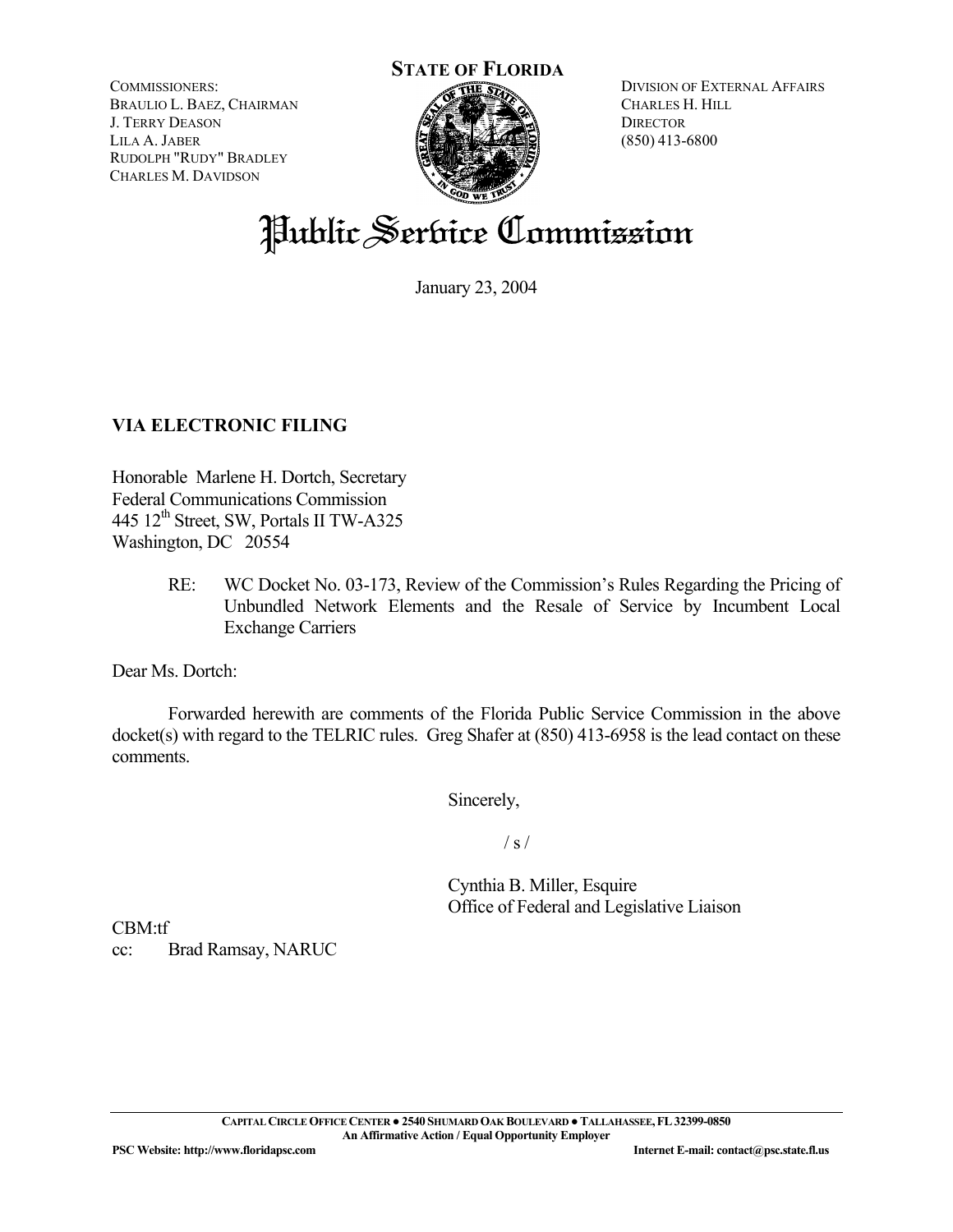**STATE OF FLORIDA**

COMMISSIONERS: BRAULIO L. BAEZ, CHAIRMAN J. TERRY DEASON LILA A. JABER RUDOLPH "RUDY" BRADLEY CHARLES M. DAVIDSON



DIVISION OF EXTERNAL AFFAIRS CHARLES H. HILL **DIRECTOR** (850) 413-6800

# Public Service Commission

January 23, 2004

# **VIA ELECTRONIC FILING**

Honorable Marlene H. Dortch, Secretary Federal Communications Commission 445  $12<sup>th</sup>$  Street, SW, Portals II TW-A325 Washington, DC 20554

> RE: WC Docket No. 03-173, Review of the Commission's Rules Regarding the Pricing of Unbundled Network Elements and the Resale of Service by Incumbent Local Exchange Carriers

Dear Ms. Dortch:

 Forwarded herewith are comments of the Florida Public Service Commission in the above docket(s) with regard to the TELRIC rules. Greg Shafer at (850) 413-6958 is the lead contact on these comments.

Sincerely,

 $\frac{1}{s}$  /

 Cynthia B. Miller, Esquire Office of Federal and Legislative Liaison

CBM:tf cc: Brad Ramsay, NARUC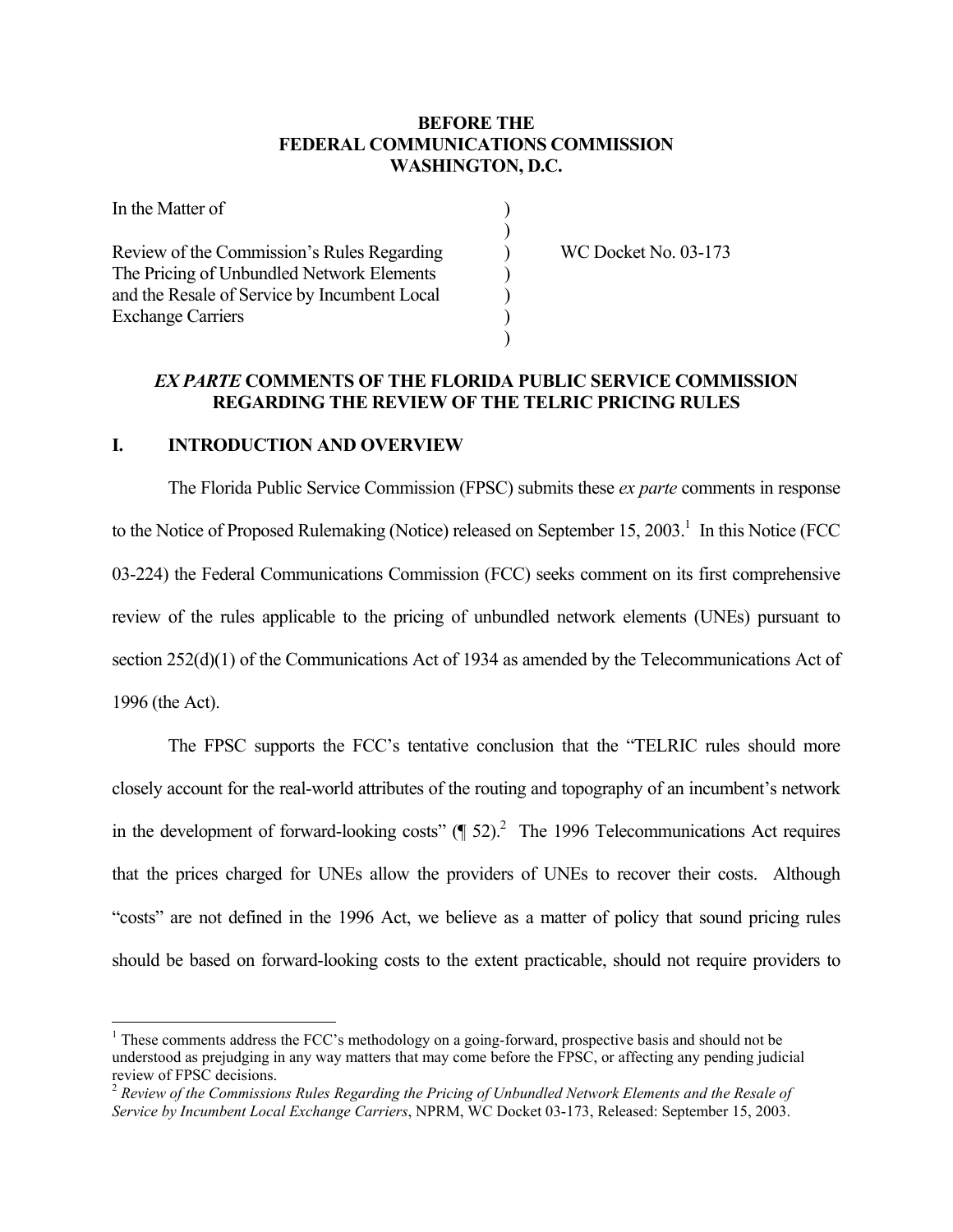## **BEFORE THE FEDERAL COMMUNICATIONS COMMISSION WASHINGTON, D.C.**

| In the Matter of                                                                        |  |
|-----------------------------------------------------------------------------------------|--|
| Review of the Commission's Rules Regarding<br>The Pricing of Unbundled Network Elements |  |
| and the Resale of Service by Incumbent Local<br><b>Exchange Carriers</b>                |  |

WC Docket No. 03-173

#### *EX PARTE* **COMMENTS OF THE FLORIDA PUBLIC SERVICE COMMISSION REGARDING THE REVIEW OF THE TELRIC PRICING RULES**

#### **I. INTRODUCTION AND OVERVIEW**

 $\overline{a}$ 

 The Florida Public Service Commission (FPSC) submits these *ex parte* comments in response to the Notice of Proposed Rulemaking (Notice) released on September 15, 2003.<sup>1</sup> In this Notice (FCC) 03-224) the Federal Communications Commission (FCC) seeks comment on its first comprehensive review of the rules applicable to the pricing of unbundled network elements (UNEs) pursuant to section 252(d)(1) of the Communications Act of 1934 as amended by the Telecommunications Act of 1996 (the Act).

 The FPSC supports the FCC's tentative conclusion that the "TELRIC rules should more closely account for the real-world attributes of the routing and topography of an incumbent's network in the development of forward-looking costs"  $(\text{T} 52)^2$ . The 1996 Telecommunications Act requires that the prices charged for UNEs allow the providers of UNEs to recover their costs. Although "costs" are not defined in the 1996 Act, we believe as a matter of policy that sound pricing rules should be based on forward-looking costs to the extent practicable, should not require providers to

<sup>&</sup>lt;sup>1</sup> These comments address the FCC's methodology on a going-forward, prospective basis and should not be understood as prejudging in any way matters that may come before the FPSC, or affecting any pending judicial review of FPSC decisions.

<sup>2</sup> *Review of the Commissions Rules Regarding the Pricing of Unbundled Network Elements and the Resale of Service by Incumbent Local Exchange Carriers*, NPRM, WC Docket 03-173, Released: September 15, 2003.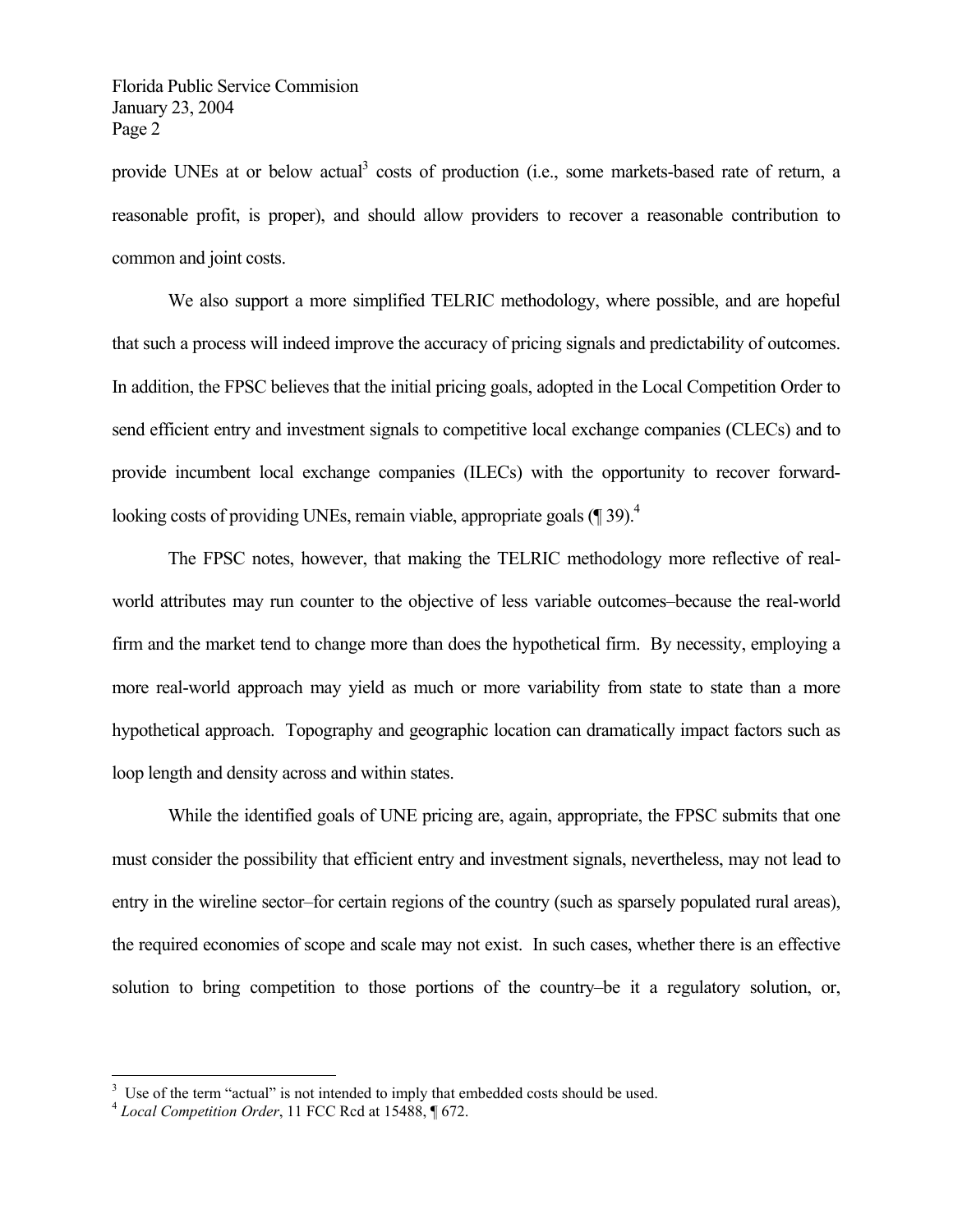provide UNEs at or below actual<sup>3</sup> costs of production (i.e., some markets-based rate of return, a reasonable profit, is proper), and should allow providers to recover a reasonable contribution to common and joint costs.

 We also support a more simplified TELRIC methodology, where possible, and are hopeful that such a process will indeed improve the accuracy of pricing signals and predictability of outcomes. In addition, the FPSC believes that the initial pricing goals, adopted in the Local Competition Order to send efficient entry and investment signals to competitive local exchange companies (CLECs) and to provide incumbent local exchange companies (ILECs) with the opportunity to recover forwardlooking costs of providing UNEs, remain viable, appropriate goals (¶ 39).<sup>4</sup>

 The FPSC notes, however, that making the TELRIC methodology more reflective of realworld attributes may run counter to the objective of less variable outcomes–because the real-world firm and the market tend to change more than does the hypothetical firm. By necessity, employing a more real-world approach may yield as much or more variability from state to state than a more hypothetical approach. Topography and geographic location can dramatically impact factors such as loop length and density across and within states.

 While the identified goals of UNE pricing are, again, appropriate, the FPSC submits that one must consider the possibility that efficient entry and investment signals, nevertheless, may not lead to entry in the wireline sector–for certain regions of the country (such as sparsely populated rural areas), the required economies of scope and scale may not exist. In such cases, whether there is an effective solution to bring competition to those portions of the country–be it a regulatory solution, or,

<sup>&</sup>lt;sup>3</sup> Use of the term "actual" is not intended to imply that embedded costs should be used.

<sup>4</sup> *Local Competition Order*, 11 FCC Rcd at 15488, ¶ 672.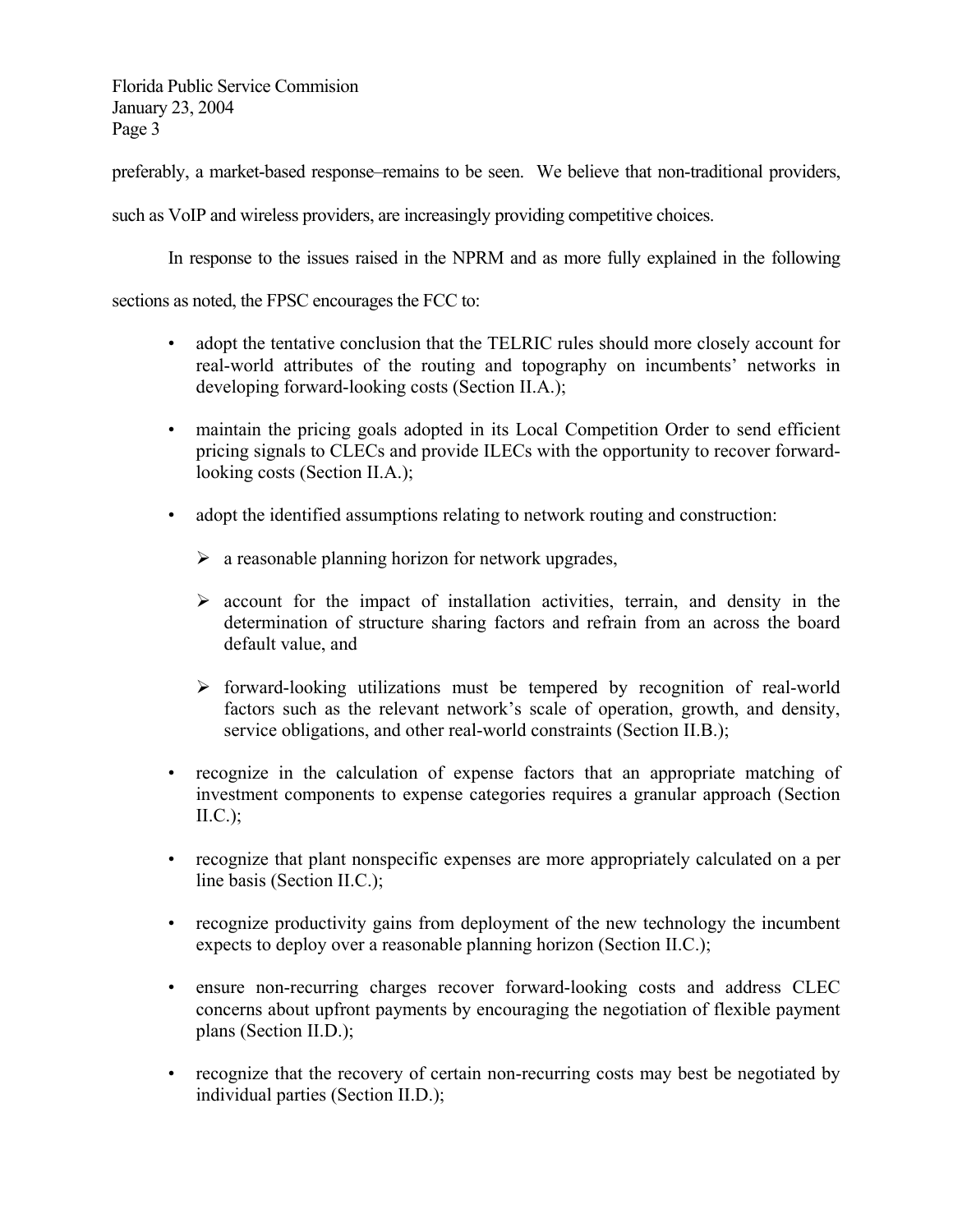preferably, a market-based response–remains to be seen. We believe that non-traditional providers,

such as VoIP and wireless providers, are increasingly providing competitive choices.

In response to the issues raised in the NPRM and as more fully explained in the following

sections as noted, the FPSC encourages the FCC to:

- adopt the tentative conclusion that the TELRIC rules should more closely account for real-world attributes of the routing and topography on incumbents' networks in developing forward-looking costs (Section II.A.);
- maintain the pricing goals adopted in its Local Competition Order to send efficient pricing signals to CLECs and provide ILECs with the opportunity to recover forwardlooking costs (Section II.A.);
- adopt the identified assumptions relating to network routing and construction:
	- $\triangleright$  a reasonable planning horizon for network upgrades,
	- $\triangleright$  account for the impact of installation activities, terrain, and density in the determination of structure sharing factors and refrain from an across the board default value, and
	- $\triangleright$  forward-looking utilizations must be tempered by recognition of real-world factors such as the relevant network's scale of operation, growth, and density, service obligations, and other real-world constraints (Section II.B.);
- recognize in the calculation of expense factors that an appropriate matching of investment components to expense categories requires a granular approach (Section  $\text{II.C.};$
- recognize that plant nonspecific expenses are more appropriately calculated on a per line basis (Section II.C.);
- recognize productivity gains from deployment of the new technology the incumbent expects to deploy over a reasonable planning horizon (Section II.C.);
- ensure non-recurring charges recover forward-looking costs and address CLEC concerns about upfront payments by encouraging the negotiation of flexible payment plans (Section II.D.);
- recognize that the recovery of certain non-recurring costs may best be negotiated by individual parties (Section II.D.);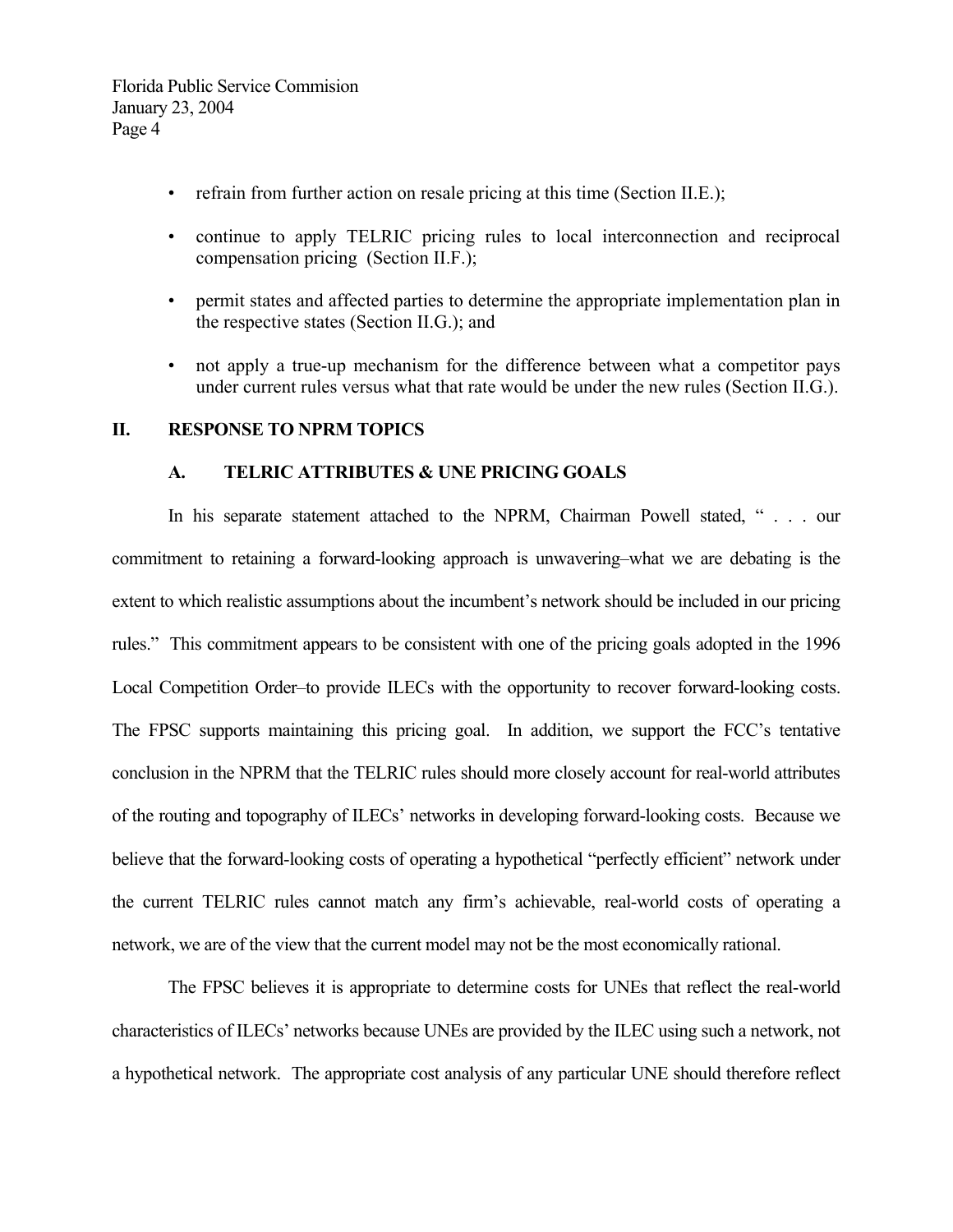- refrain from further action on resale pricing at this time (Section II.E.);
- continue to apply TELRIC pricing rules to local interconnection and reciprocal compensation pricing (Section II.F.);
- permit states and affected parties to determine the appropriate implementation plan in the respective states (Section II.G.); and
- not apply a true-up mechanism for the difference between what a competitor pays under current rules versus what that rate would be under the new rules (Section II.G.).

#### **II. RESPONSE TO NPRM TOPICS**

#### **A. TELRIC ATTRIBUTES & UNE PRICING GOALS**

 In his separate statement attached to the NPRM, Chairman Powell stated, " . . . our commitment to retaining a forward-looking approach is unwavering–what we are debating is the extent to which realistic assumptions about the incumbent's network should be included in our pricing rules." This commitment appears to be consistent with one of the pricing goals adopted in the 1996 Local Competition Order–to provide ILECs with the opportunity to recover forward-looking costs. The FPSC supports maintaining this pricing goal. In addition, we support the FCC's tentative conclusion in the NPRM that the TELRIC rules should more closely account for real-world attributes of the routing and topography of ILECs' networks in developing forward-looking costs. Because we believe that the forward-looking costs of operating a hypothetical "perfectly efficient" network under the current TELRIC rules cannot match any firm's achievable, real-world costs of operating a network, we are of the view that the current model may not be the most economically rational.

 The FPSC believes it is appropriate to determine costs for UNEs that reflect the real-world characteristics of ILECs' networks because UNEs are provided by the ILEC using such a network, not a hypothetical network. The appropriate cost analysis of any particular UNE should therefore reflect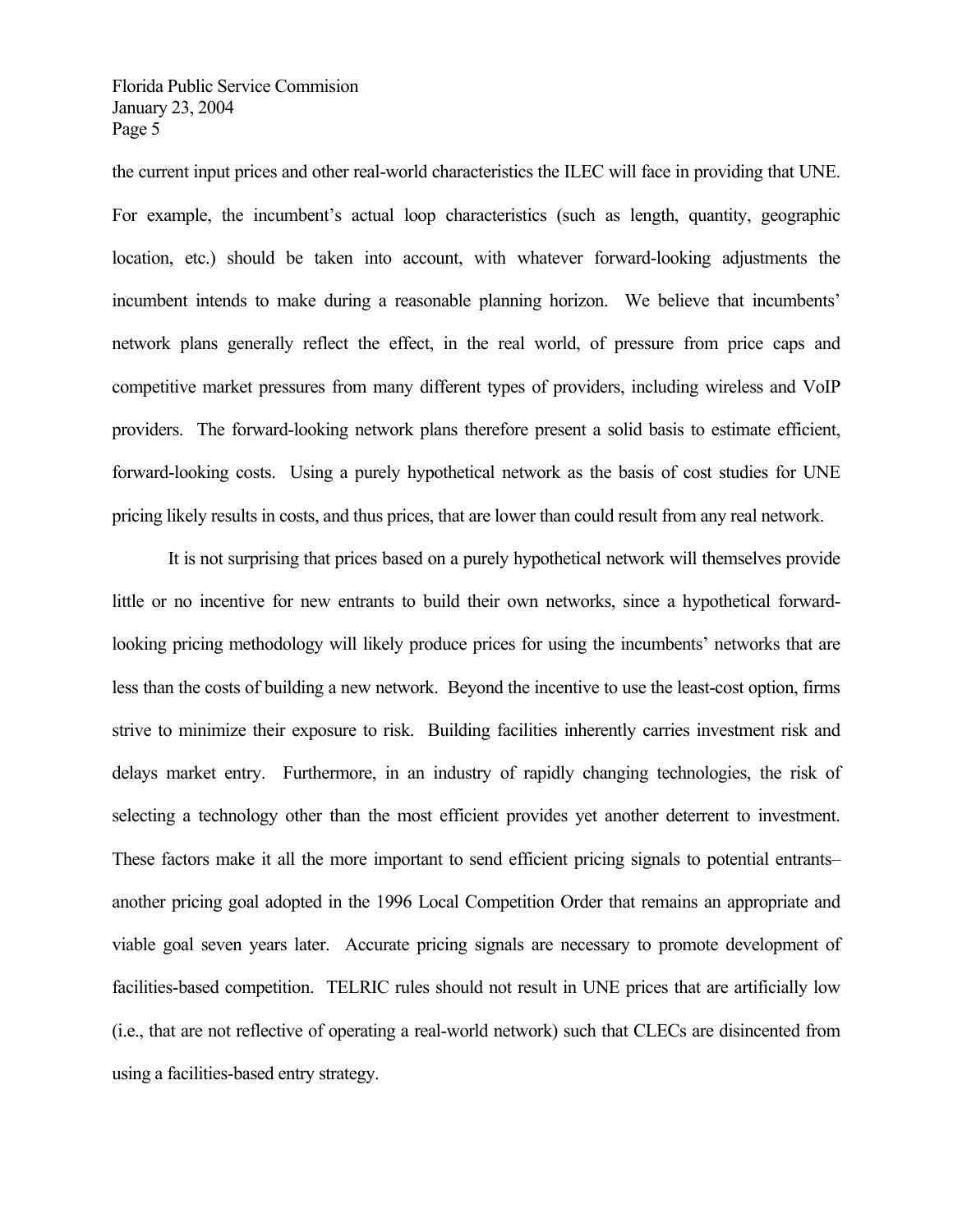the current input prices and other real-world characteristics the ILEC will face in providing that UNE. For example, the incumbent's actual loop characteristics (such as length, quantity, geographic location, etc.) should be taken into account, with whatever forward-looking adjustments the incumbent intends to make during a reasonable planning horizon. We believe that incumbents' network plans generally reflect the effect, in the real world, of pressure from price caps and competitive market pressures from many different types of providers, including wireless and VoIP providers. The forward-looking network plans therefore present a solid basis to estimate efficient, forward-looking costs. Using a purely hypothetical network as the basis of cost studies for UNE pricing likely results in costs, and thus prices, that are lower than could result from any real network.

 It is not surprising that prices based on a purely hypothetical network will themselves provide little or no incentive for new entrants to build their own networks, since a hypothetical forwardlooking pricing methodology will likely produce prices for using the incumbents' networks that are less than the costs of building a new network. Beyond the incentive to use the least-cost option, firms strive to minimize their exposure to risk. Building facilities inherently carries investment risk and delays market entry. Furthermore, in an industry of rapidly changing technologies, the risk of selecting a technology other than the most efficient provides yet another deterrent to investment. These factors make it all the more important to send efficient pricing signals to potential entrants– another pricing goal adopted in the 1996 Local Competition Order that remains an appropriate and viable goal seven years later. Accurate pricing signals are necessary to promote development of facilities-based competition. TELRIC rules should not result in UNE prices that are artificially low (i.e., that are not reflective of operating a real-world network) such that CLECs are disincented from using a facilities-based entry strategy.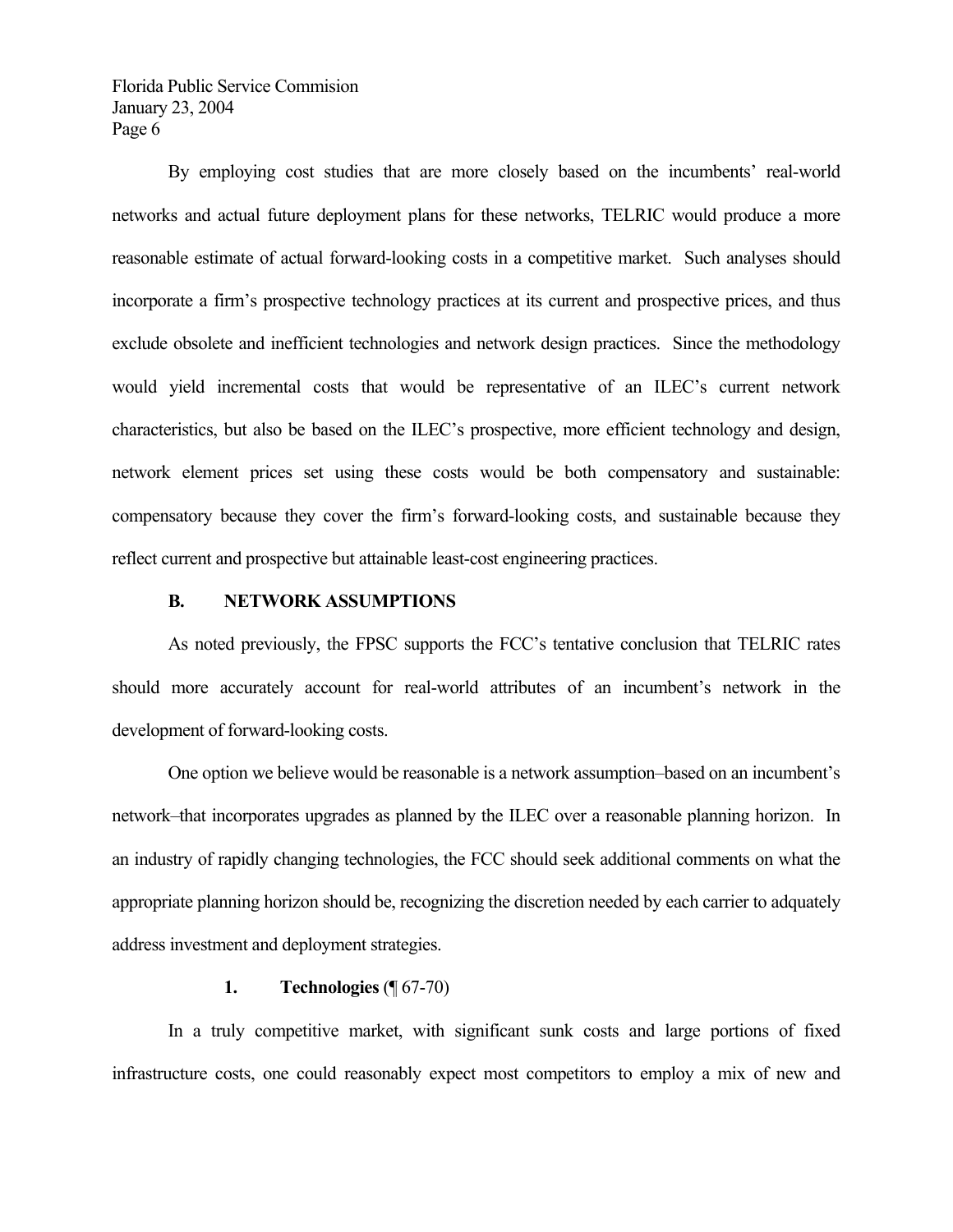By employing cost studies that are more closely based on the incumbents' real-world networks and actual future deployment plans for these networks, TELRIC would produce a more reasonable estimate of actual forward-looking costs in a competitive market. Such analyses should incorporate a firm's prospective technology practices at its current and prospective prices, and thus exclude obsolete and inefficient technologies and network design practices. Since the methodology would yield incremental costs that would be representative of an ILEC's current network characteristics, but also be based on the ILEC's prospective, more efficient technology and design, network element prices set using these costs would be both compensatory and sustainable: compensatory because they cover the firm's forward-looking costs, and sustainable because they reflect current and prospective but attainable least-cost engineering practices.

#### **B. NETWORK ASSUMPTIONS**

 As noted previously, the FPSC supports the FCC's tentative conclusion that TELRIC rates should more accurately account for real-world attributes of an incumbent's network in the development of forward-looking costs.

 One option we believe would be reasonable is a network assumption–based on an incumbent's network–that incorporates upgrades as planned by the ILEC over a reasonable planning horizon. In an industry of rapidly changing technologies, the FCC should seek additional comments on what the appropriate planning horizon should be, recognizing the discretion needed by each carrier to adquately address investment and deployment strategies.

## **1. Technologies** (¶ 67-70)

 In a truly competitive market, with significant sunk costs and large portions of fixed infrastructure costs, one could reasonably expect most competitors to employ a mix of new and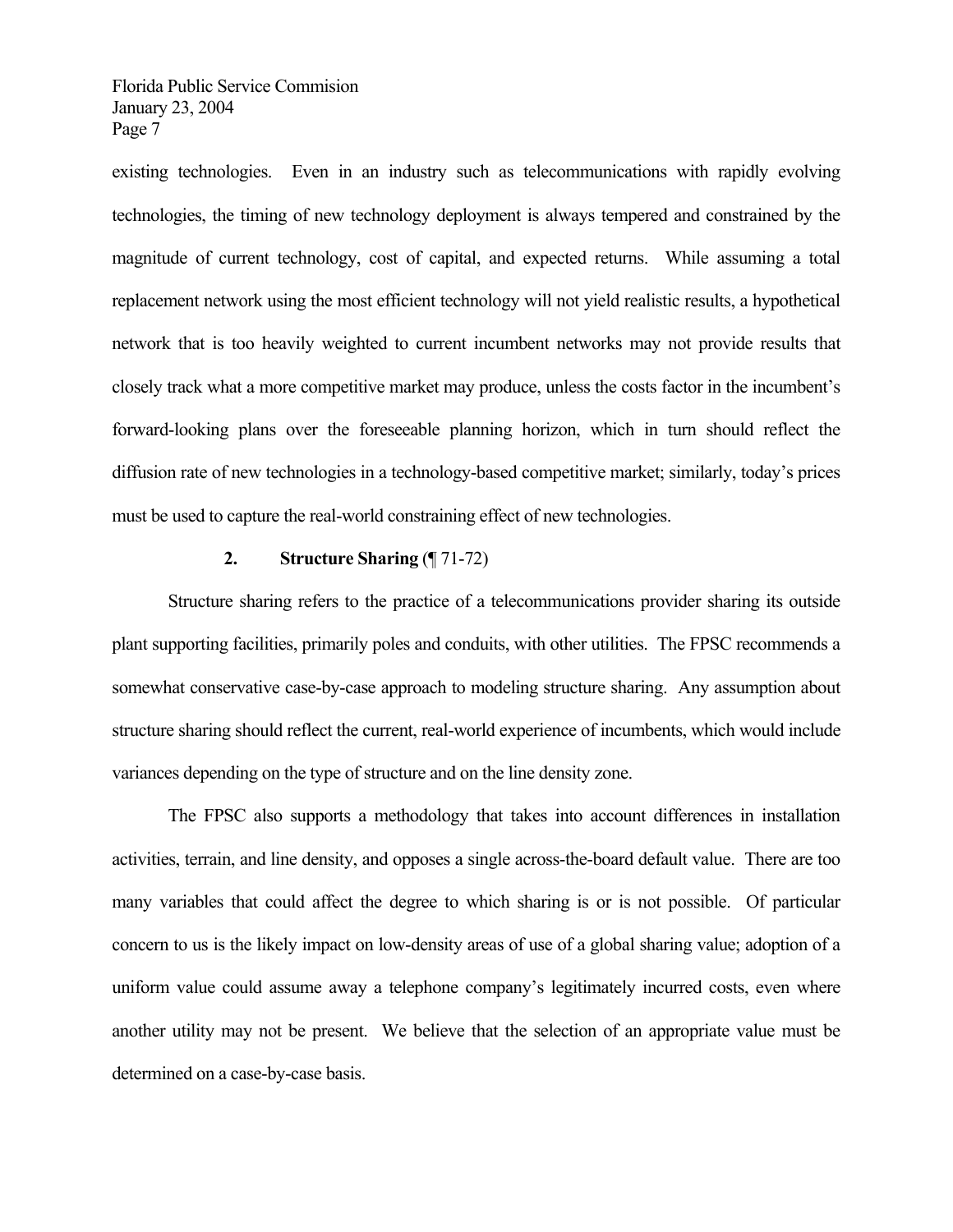existing technologies. Even in an industry such as telecommunications with rapidly evolving technologies, the timing of new technology deployment is always tempered and constrained by the magnitude of current technology, cost of capital, and expected returns. While assuming a total replacement network using the most efficient technology will not yield realistic results, a hypothetical network that is too heavily weighted to current incumbent networks may not provide results that closely track what a more competitive market may produce, unless the costs factor in the incumbent's forward-looking plans over the foreseeable planning horizon, which in turn should reflect the diffusion rate of new technologies in a technology-based competitive market; similarly, today's prices must be used to capture the real-world constraining effect of new technologies.

#### **2. Structure Sharing** (¶ 71-72)

 Structure sharing refers to the practice of a telecommunications provider sharing its outside plant supporting facilities, primarily poles and conduits, with other utilities. The FPSC recommends a somewhat conservative case-by-case approach to modeling structure sharing. Any assumption about structure sharing should reflect the current, real-world experience of incumbents, which would include variances depending on the type of structure and on the line density zone.

 The FPSC also supports a methodology that takes into account differences in installation activities, terrain, and line density, and opposes a single across-the-board default value. There are too many variables that could affect the degree to which sharing is or is not possible. Of particular concern to us is the likely impact on low-density areas of use of a global sharing value; adoption of a uniform value could assume away a telephone company's legitimately incurred costs, even where another utility may not be present. We believe that the selection of an appropriate value must be determined on a case-by-case basis.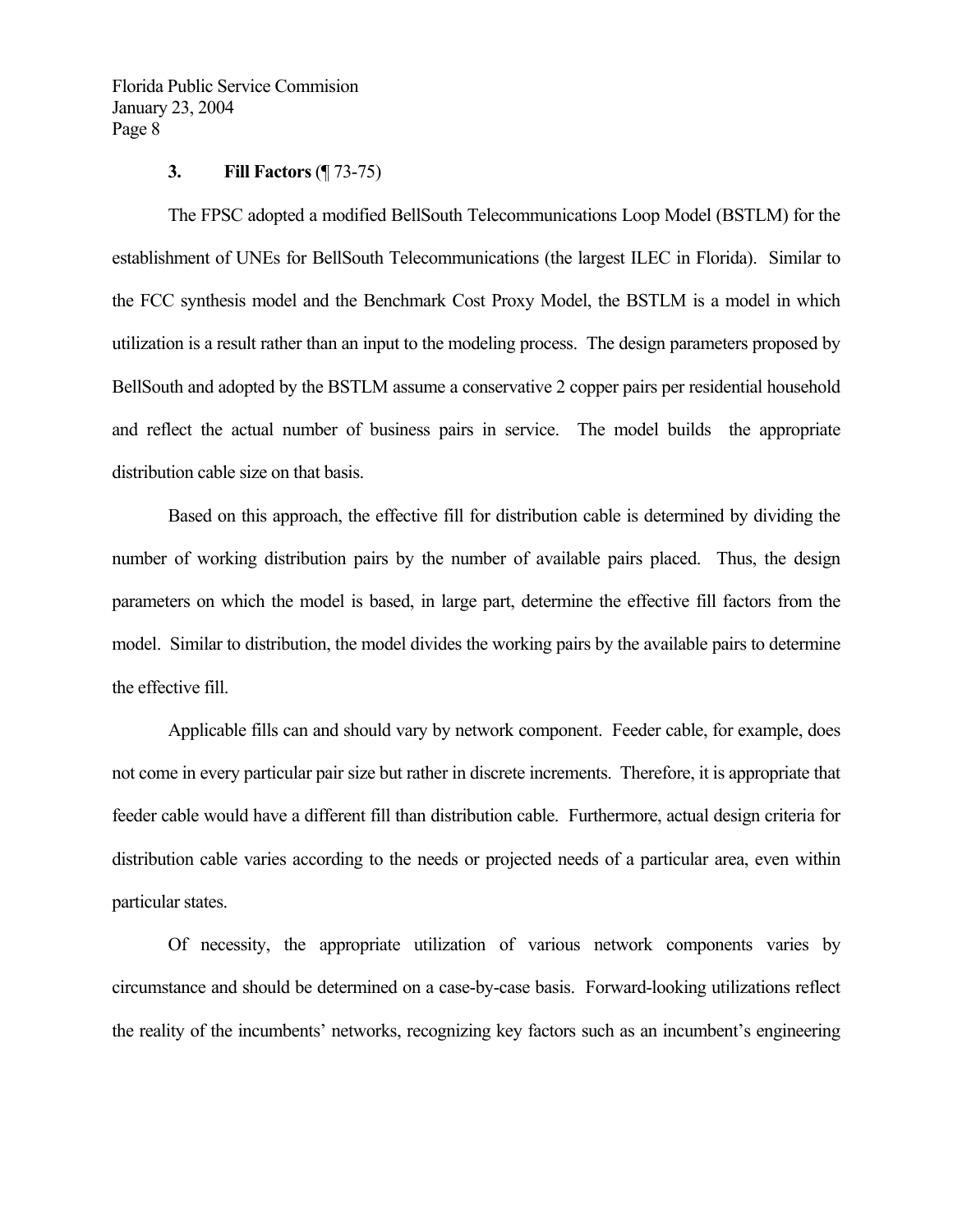#### **3. Fill Factors** (¶ 73-75)

 The FPSC adopted a modified BellSouth Telecommunications Loop Model (BSTLM) for the establishment of UNEs for BellSouth Telecommunications (the largest ILEC in Florida). Similar to the FCC synthesis model and the Benchmark Cost Proxy Model, the BSTLM is a model in which utilization is a result rather than an input to the modeling process. The design parameters proposed by BellSouth and adopted by the BSTLM assume a conservative 2 copper pairs per residential household and reflect the actual number of business pairs in service. The model builds the appropriate distribution cable size on that basis.

 Based on this approach, the effective fill for distribution cable is determined by dividing the number of working distribution pairs by the number of available pairs placed. Thus, the design parameters on which the model is based, in large part, determine the effective fill factors from the model. Similar to distribution, the model divides the working pairs by the available pairs to determine the effective fill.

 Applicable fills can and should vary by network component. Feeder cable, for example, does not come in every particular pair size but rather in discrete increments. Therefore, it is appropriate that feeder cable would have a different fill than distribution cable. Furthermore, actual design criteria for distribution cable varies according to the needs or projected needs of a particular area, even within particular states.

 Of necessity, the appropriate utilization of various network components varies by circumstance and should be determined on a case-by-case basis. Forward-looking utilizations reflect the reality of the incumbents' networks, recognizing key factors such as an incumbent's engineering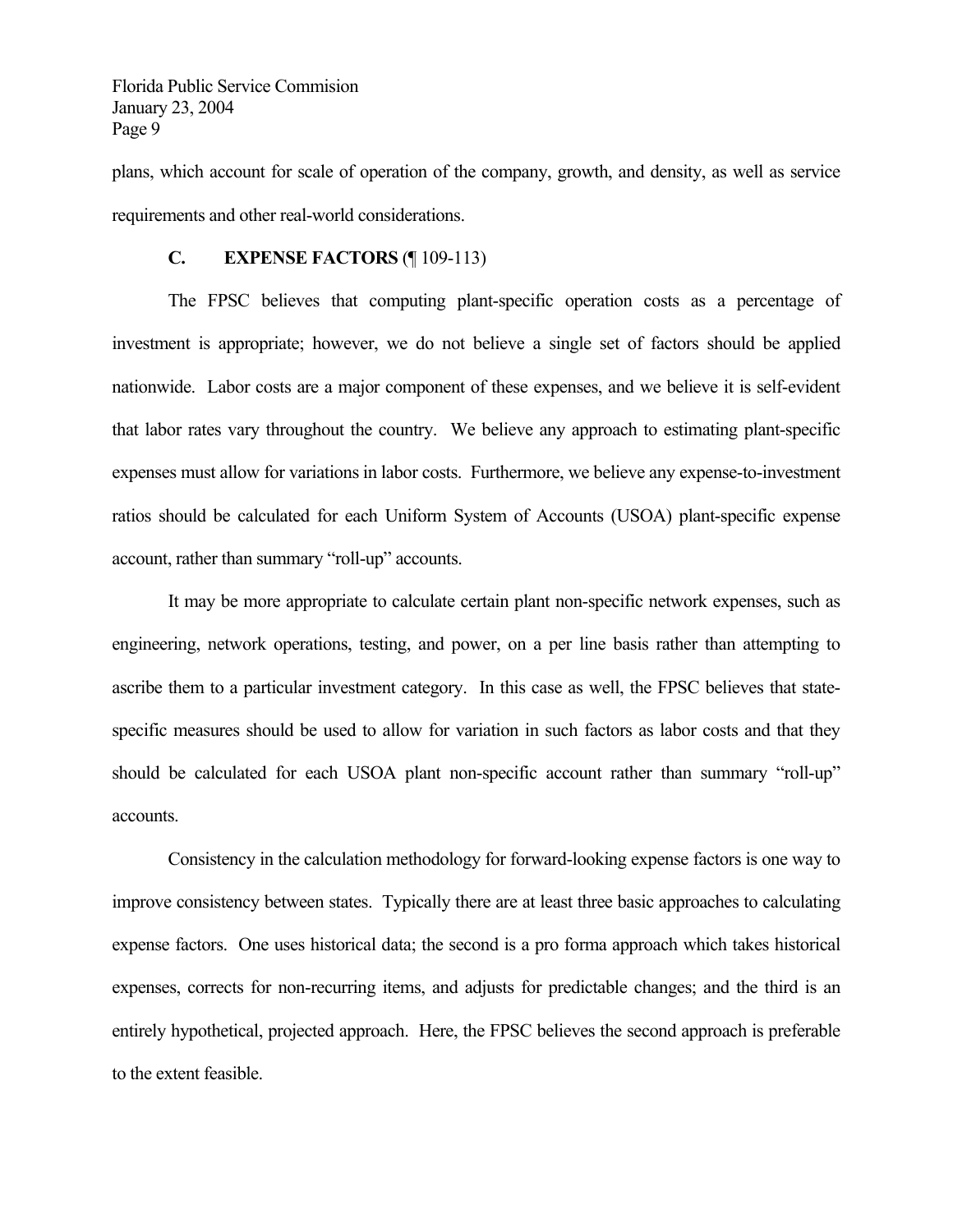plans, which account for scale of operation of the company, growth, and density, as well as service requirements and other real-world considerations.

#### **C. EXPENSE FACTORS** (¶ 109-113)

 The FPSC believes that computing plant-specific operation costs as a percentage of investment is appropriate; however, we do not believe a single set of factors should be applied nationwide. Labor costs are a major component of these expenses, and we believe it is self-evident that labor rates vary throughout the country. We believe any approach to estimating plant-specific expenses must allow for variations in labor costs. Furthermore, we believe any expense-to-investment ratios should be calculated for each Uniform System of Accounts (USOA) plant-specific expense account, rather than summary "roll-up" accounts.

 It may be more appropriate to calculate certain plant non-specific network expenses, such as engineering, network operations, testing, and power, on a per line basis rather than attempting to ascribe them to a particular investment category. In this case as well, the FPSC believes that statespecific measures should be used to allow for variation in such factors as labor costs and that they should be calculated for each USOA plant non-specific account rather than summary "roll-up" accounts.

 Consistency in the calculation methodology for forward-looking expense factors is one way to improve consistency between states. Typically there are at least three basic approaches to calculating expense factors. One uses historical data; the second is a pro forma approach which takes historical expenses, corrects for non-recurring items, and adjusts for predictable changes; and the third is an entirely hypothetical, projected approach. Here, the FPSC believes the second approach is preferable to the extent feasible.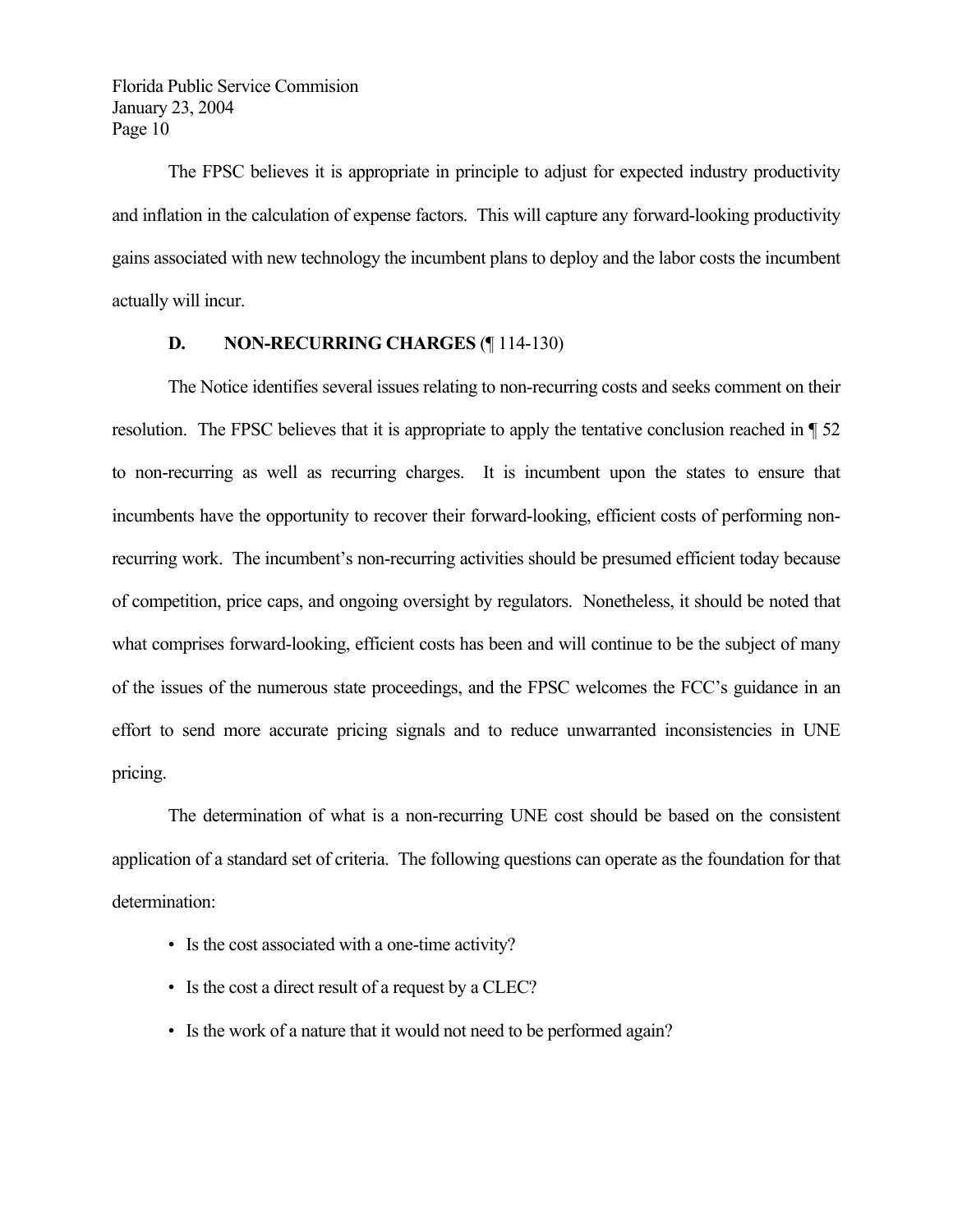The FPSC believes it is appropriate in principle to adjust for expected industry productivity and inflation in the calculation of expense factors. This will capture any forward-looking productivity gains associated with new technology the incumbent plans to deploy and the labor costs the incumbent actually will incur.

## **D. NON-RECURRING CHARGES** (¶ 114-130)

 The Notice identifies several issues relating to non-recurring costs and seeks comment on their resolution. The FPSC believes that it is appropriate to apply the tentative conclusion reached in ¶ 52 to non-recurring as well as recurring charges. It is incumbent upon the states to ensure that incumbents have the opportunity to recover their forward-looking, efficient costs of performing nonrecurring work. The incumbent's non-recurring activities should be presumed efficient today because of competition, price caps, and ongoing oversight by regulators. Nonetheless, it should be noted that what comprises forward-looking, efficient costs has been and will continue to be the subject of many of the issues of the numerous state proceedings, and the FPSC welcomes the FCC's guidance in an effort to send more accurate pricing signals and to reduce unwarranted inconsistencies in UNE pricing.

 The determination of what is a non-recurring UNE cost should be based on the consistent application of a standard set of criteria. The following questions can operate as the foundation for that determination:

- Is the cost associated with a one-time activity?
- Is the cost a direct result of a request by a CLEC?
- Is the work of a nature that it would not need to be performed again?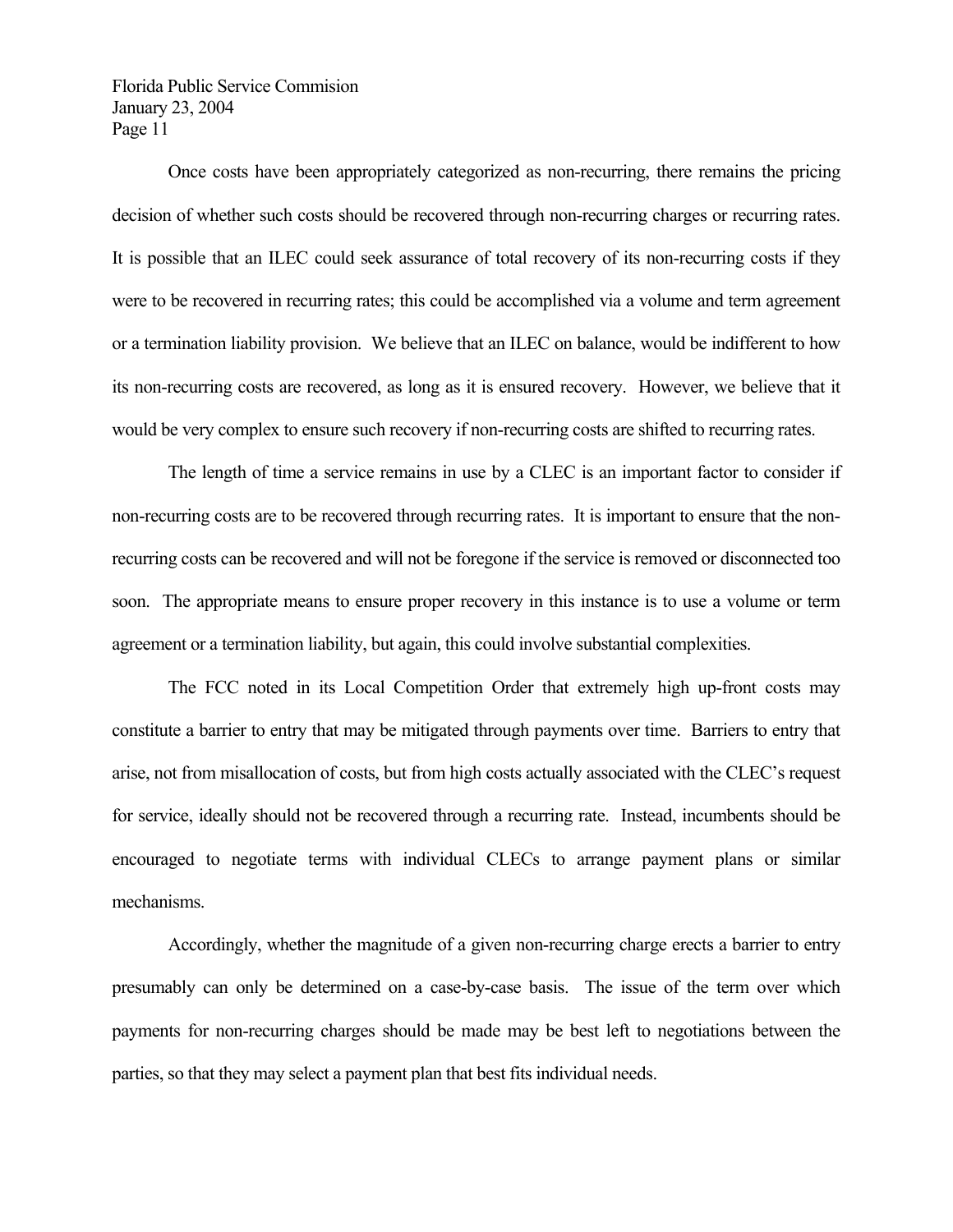Once costs have been appropriately categorized as non-recurring, there remains the pricing decision of whether such costs should be recovered through non-recurring charges or recurring rates. It is possible that an ILEC could seek assurance of total recovery of its non-recurring costs if they were to be recovered in recurring rates; this could be accomplished via a volume and term agreement or a termination liability provision. We believe that an ILEC on balance, would be indifferent to how its non-recurring costs are recovered, as long as it is ensured recovery. However, we believe that it would be very complex to ensure such recovery if non-recurring costs are shifted to recurring rates.

 The length of time a service remains in use by a CLEC is an important factor to consider if non-recurring costs are to be recovered through recurring rates. It is important to ensure that the nonrecurring costs can be recovered and will not be foregone if the service is removed or disconnected too soon. The appropriate means to ensure proper recovery in this instance is to use a volume or term agreement or a termination liability, but again, this could involve substantial complexities.

 The FCC noted in its Local Competition Order that extremely high up-front costs may constitute a barrier to entry that may be mitigated through payments over time. Barriers to entry that arise, not from misallocation of costs, but from high costs actually associated with the CLEC's request for service, ideally should not be recovered through a recurring rate. Instead, incumbents should be encouraged to negotiate terms with individual CLECs to arrange payment plans or similar mechanisms.

 Accordingly, whether the magnitude of a given non-recurring charge erects a barrier to entry presumably can only be determined on a case-by-case basis. The issue of the term over which payments for non-recurring charges should be made may be best left to negotiations between the parties, so that they may select a payment plan that best fits individual needs.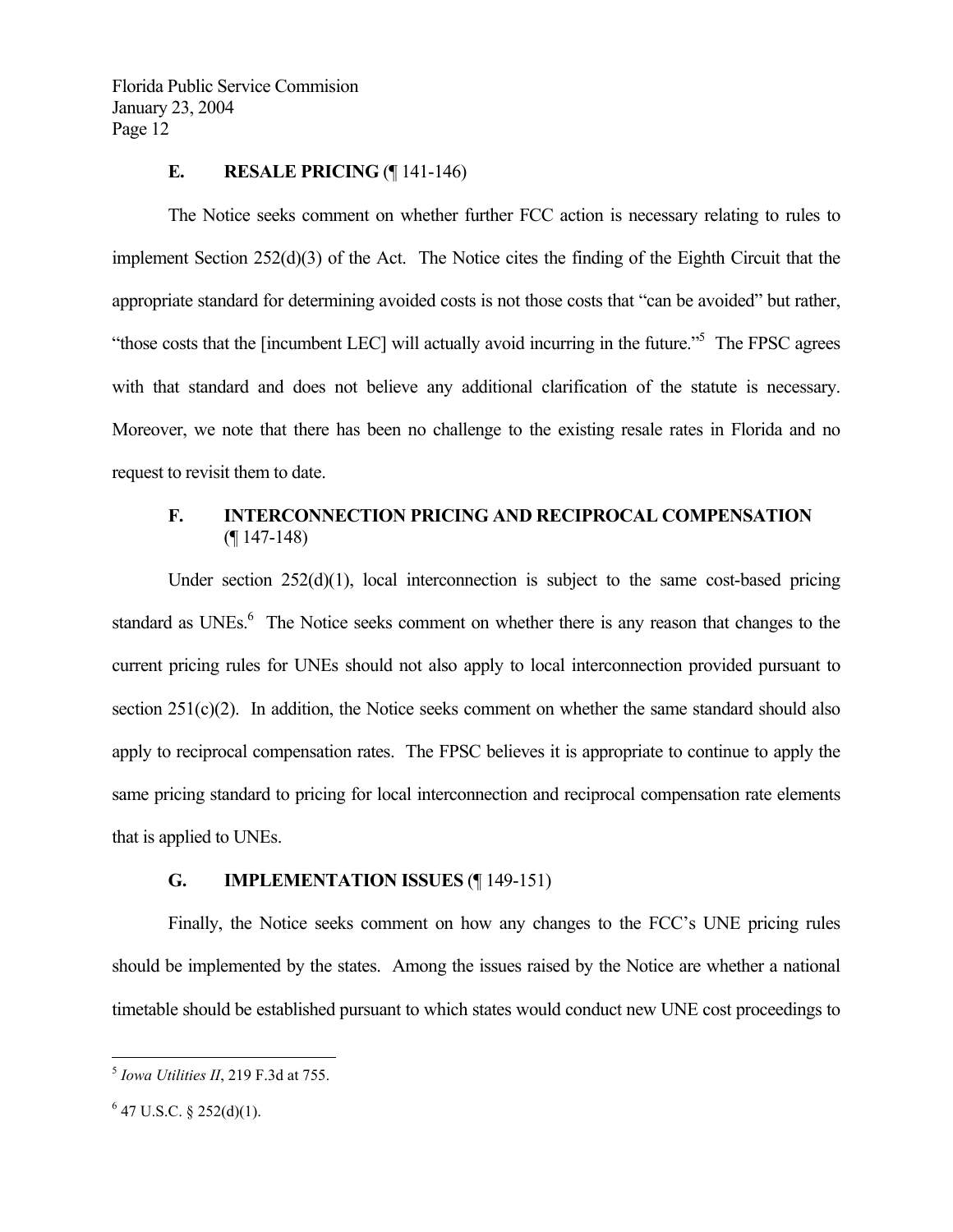#### **E.** RESALE PRICING (¶ 141-146)

 The Notice seeks comment on whether further FCC action is necessary relating to rules to implement Section 252(d)(3) of the Act. The Notice cites the finding of the Eighth Circuit that the appropriate standard for determining avoided costs is not those costs that "can be avoided" but rather, "those costs that the [incumbent LEC] will actually avoid incurring in the future."<sup>5</sup> The FPSC agrees with that standard and does not believe any additional clarification of the statute is necessary. Moreover, we note that there has been no challenge to the existing resale rates in Florida and no request to revisit them to date.

#### **F. INTERCONNECTION PRICING AND RECIPROCAL COMPENSATION**   $($ [ 147-148)

Under section  $252(d)(1)$ , local interconnection is subject to the same cost-based pricing standard as UNEs.<sup>6</sup> The Notice seeks comment on whether there is any reason that changes to the current pricing rules for UNEs should not also apply to local interconnection provided pursuant to section  $251(c)(2)$ . In addition, the Notice seeks comment on whether the same standard should also apply to reciprocal compensation rates. The FPSC believes it is appropriate to continue to apply the same pricing standard to pricing for local interconnection and reciprocal compensation rate elements that is applied to UNEs.

#### **G. IMPLEMENTATION ISSUES** (¶ 149-151)

 Finally, the Notice seeks comment on how any changes to the FCC's UNE pricing rules should be implemented by the states. Among the issues raised by the Notice are whether a national timetable should be established pursuant to which states would conduct new UNE cost proceedings to

 $\overline{a}$ 

<sup>5</sup> *Iowa Utilities II*, 219 F.3d at 755.

 $6$  47 U.S.C. § 252(d)(1).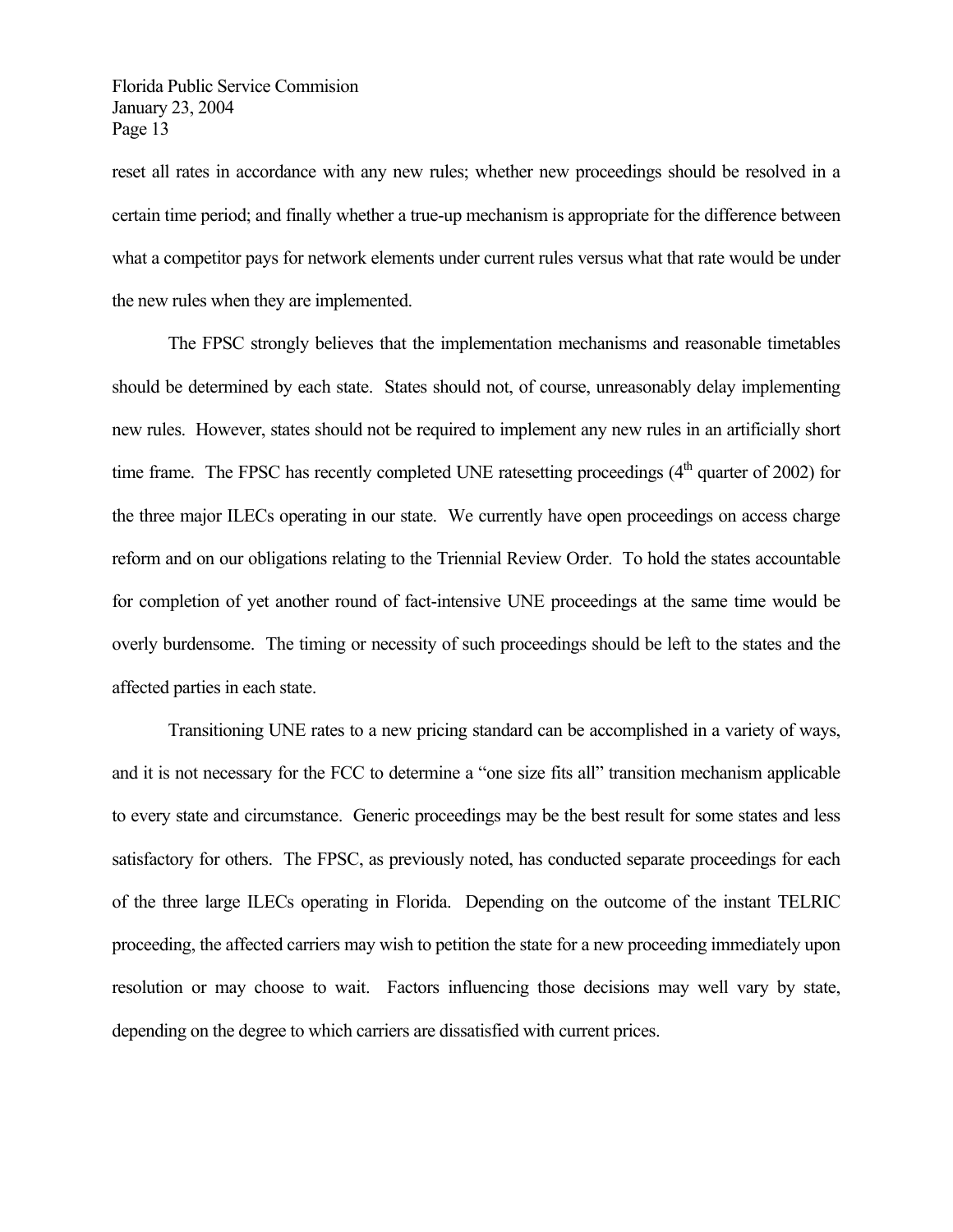reset all rates in accordance with any new rules; whether new proceedings should be resolved in a certain time period; and finally whether a true-up mechanism is appropriate for the difference between what a competitor pays for network elements under current rules versus what that rate would be under the new rules when they are implemented.

 The FPSC strongly believes that the implementation mechanisms and reasonable timetables should be determined by each state. States should not, of course, unreasonably delay implementing new rules. However, states should not be required to implement any new rules in an artificially short time frame. The FPSC has recently completed UNE ratesetting proceedings  $(4<sup>th</sup>$  quarter of 2002) for the three major ILECs operating in our state. We currently have open proceedings on access charge reform and on our obligations relating to the Triennial Review Order. To hold the states accountable for completion of yet another round of fact-intensive UNE proceedings at the same time would be overly burdensome. The timing or necessity of such proceedings should be left to the states and the affected parties in each state.

 Transitioning UNE rates to a new pricing standard can be accomplished in a variety of ways, and it is not necessary for the FCC to determine a "one size fits all" transition mechanism applicable to every state and circumstance. Generic proceedings may be the best result for some states and less satisfactory for others. The FPSC, as previously noted, has conducted separate proceedings for each of the three large ILECs operating in Florida. Depending on the outcome of the instant TELRIC proceeding, the affected carriers may wish to petition the state for a new proceeding immediately upon resolution or may choose to wait. Factors influencing those decisions may well vary by state, depending on the degree to which carriers are dissatisfied with current prices.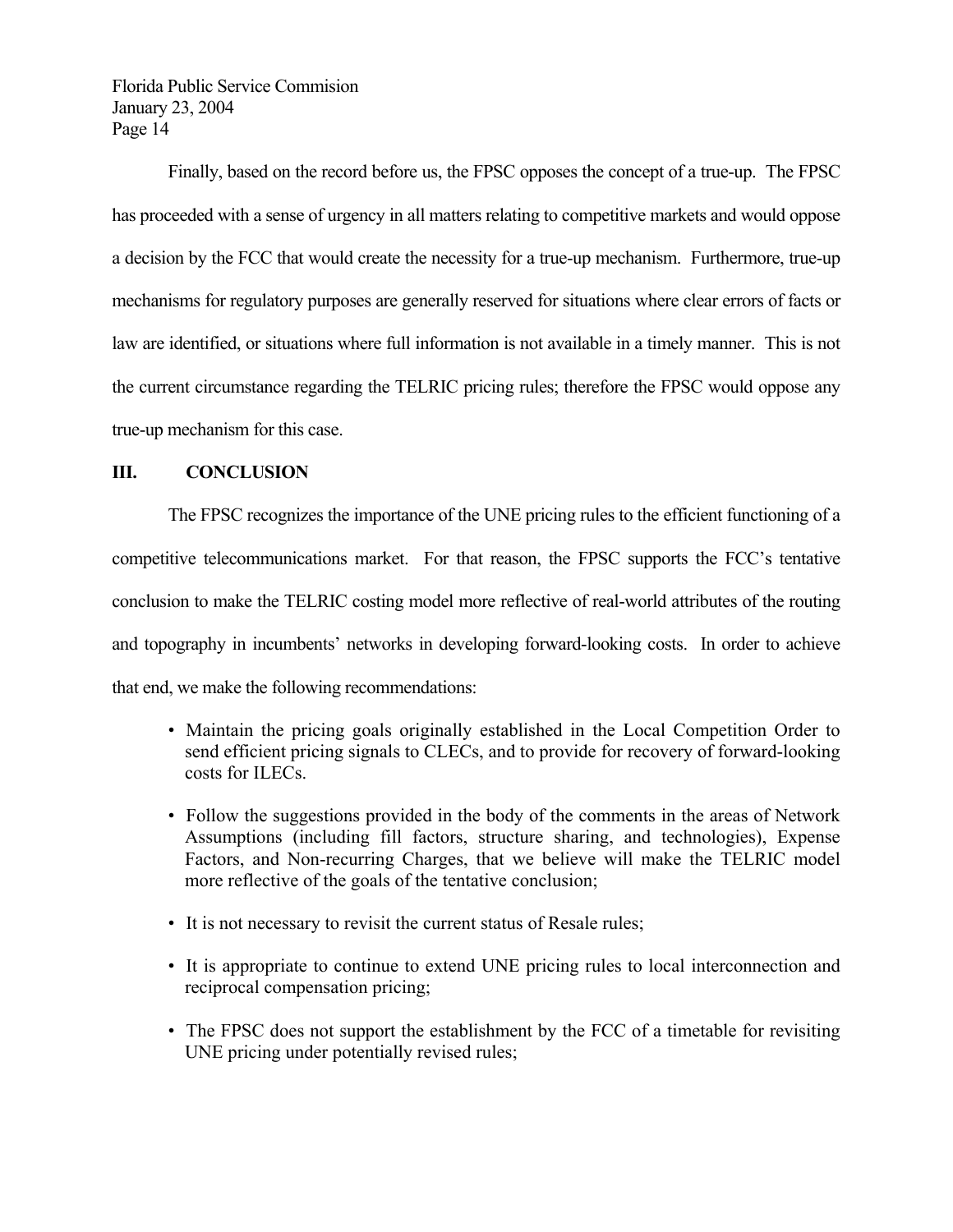Finally, based on the record before us, the FPSC opposes the concept of a true-up. The FPSC has proceeded with a sense of urgency in all matters relating to competitive markets and would oppose a decision by the FCC that would create the necessity for a true-up mechanism. Furthermore, true-up mechanisms for regulatory purposes are generally reserved for situations where clear errors of facts or law are identified, or situations where full information is not available in a timely manner. This is not the current circumstance regarding the TELRIC pricing rules; therefore the FPSC would oppose any true-up mechanism for this case.

## **III. CONCLUSION**

 The FPSC recognizes the importance of the UNE pricing rules to the efficient functioning of a competitive telecommunications market. For that reason, the FPSC supports the FCC's tentative conclusion to make the TELRIC costing model more reflective of real-world attributes of the routing and topography in incumbents' networks in developing forward-looking costs. In order to achieve that end, we make the following recommendations:

- Maintain the pricing goals originally established in the Local Competition Order to send efficient pricing signals to CLECs, and to provide for recovery of forward-looking costs for ILECs.
- Follow the suggestions provided in the body of the comments in the areas of Network Assumptions (including fill factors, structure sharing, and technologies), Expense Factors, and Non-recurring Charges, that we believe will make the TELRIC model more reflective of the goals of the tentative conclusion;
- It is not necessary to revisit the current status of Resale rules;
- It is appropriate to continue to extend UNE pricing rules to local interconnection and reciprocal compensation pricing;
- The FPSC does not support the establishment by the FCC of a timetable for revisiting UNE pricing under potentially revised rules;